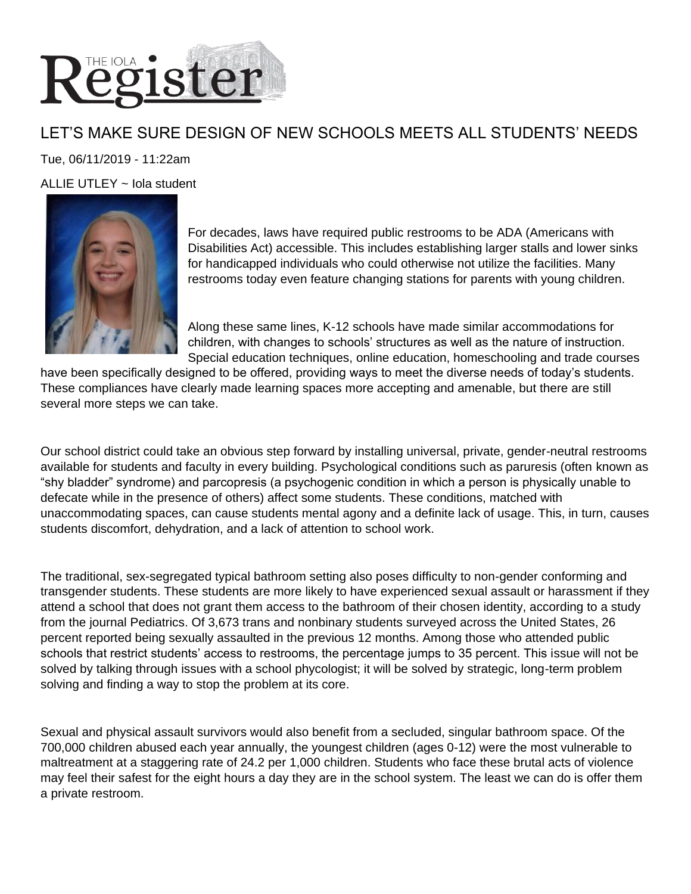

## LET'S MAKE SURE DESIGN OF NEW SCHOOLS MEETS ALL STUDENTS' NEEDS

Tue, 06/11/2019 - 11:22am

ALLIE UTLEY  $\sim$  Iola student



For decades, laws have required public restrooms to be ADA (Americans with Disabilities Act) accessible. This includes establishing larger stalls and lower sinks for handicapped individuals who could otherwise not utilize the facilities. Many restrooms today even feature changing stations for parents with young children.

Along these same lines, K-12 schools have made similar accommodations for children, with changes to schools' structures as well as the nature of instruction. Special education techniques, online education, homeschooling and trade courses

have been specifically designed to be offered, providing ways to meet the diverse needs of today's students. These compliances have clearly made learning spaces more accepting and amenable, but there are still several more steps we can take.

Our school district could take an obvious step forward by installing universal, private, gender-neutral restrooms available for students and faculty in every building. Psychological conditions such as paruresis (often known as "shy bladder" syndrome) and parcopresis (a psychogenic condition in which a person is physically unable to defecate while in the presence of others) affect some students. These conditions, matched with unaccommodating spaces, can cause students mental agony and a definite lack of usage. This, in turn, causes students discomfort, dehydration, and a lack of attention to school work.

The traditional, sex-segregated typical bathroom setting also poses difficulty to non-gender conforming and transgender students. These students are more likely to have experienced sexual assault or harassment if they attend a school that does not grant them access to the bathroom of their chosen identity, according to a study from the journal Pediatrics. Of 3,673 trans and nonbinary students surveyed across the United States, 26 percent reported being sexually assaulted in the previous 12 months. Among those who attended public schools that restrict students' access to restrooms, the percentage jumps to 35 percent. This issue will not be solved by talking through issues with a school phycologist; it will be solved by strategic, long-term problem solving and finding a way to stop the problem at its core.

Sexual and physical assault survivors would also benefit from a secluded, singular bathroom space. Of the 700,000 children abused each year annually, the youngest children (ages 0-12) were the most vulnerable to maltreatment at a staggering rate of 24.2 per 1,000 children. Students who face these brutal acts of violence may feel their safest for the eight hours a day they are in the school system. The least we can do is offer them a private restroom.